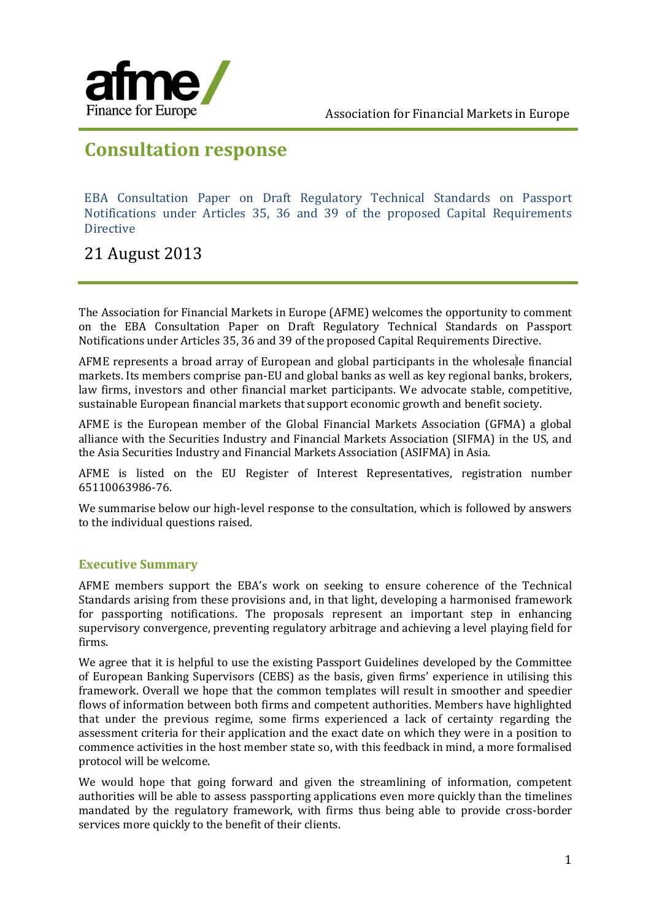

# **Consultation response**

EBA Consultation Paper on Draft Regulatory Technical Standards on Passport Notifications under Articles 35, 36 and 39 of the proposed Capital Requirements Directive

## 21 August 2013

The Association for Financial Markets in Europe (AFME) welcomes the opportunity to comment on the EBA Consultation Paper on Draft Regulatory Technical Standards on Passport Notifications under Articles 35, 36 and 39 of the proposed Capital Requirements Directive.

AFME represents a broad array of European and global participants in the wholesale financial markets. Its members comprise pan-EU and global banks as well as key regional banks, brokers, law firms, investors and other financial market participants. We advocate stable, competitive, sustainable European financial markets that support economic growth and benefit society.

AFME is the European member of the Global Financial Markets Association (GFMA) a global alliance with the Securities Industry and Financial Markets Association (SIFMA) in the US, and the Asia Securities Industry and Financial Markets Association (ASIFMA) in Asia.

AFME is listed on the EU Register of Interest Representatives, registration number 65110063986-76.

We summarise below our high-level response to the consultation, which is followed by answers to the individual questions raised.

### **Executive Summary**

AFME members support the EBA's work on seeking to ensure coherence of the Technical Standards arising from these provisions and, in that light, developing a harmonised framework for passporting notifications. The proposals represent an important step in enhancing supervisory convergence, preventing regulatory arbitrage and achieving a level playing field for firms.

We agree that it is helpful to use the existing Passport Guidelines developed by the Committee of European Banking Supervisors (CEBS) as the basis, given firms' experience in utilising this framework. Overall we hope that the common templates will result in smoother and speedier flows of information between both firms and competent authorities. Members have highlighted that under the previous regime, some firms experienced a lack of certainty regarding the assessment criteria for their application and the exact date on which they were in a position to commence activities in the host member state so, with this feedback in mind, a more formalised protocol will be welcome.

We would hope that going forward and given the streamlining of information, competent authorities will be able to assess passporting applications even more quickly than the timelines mandated by the regulatory framework, with firms thus being able to provide cross-border services more quickly to the benefit of their clients.